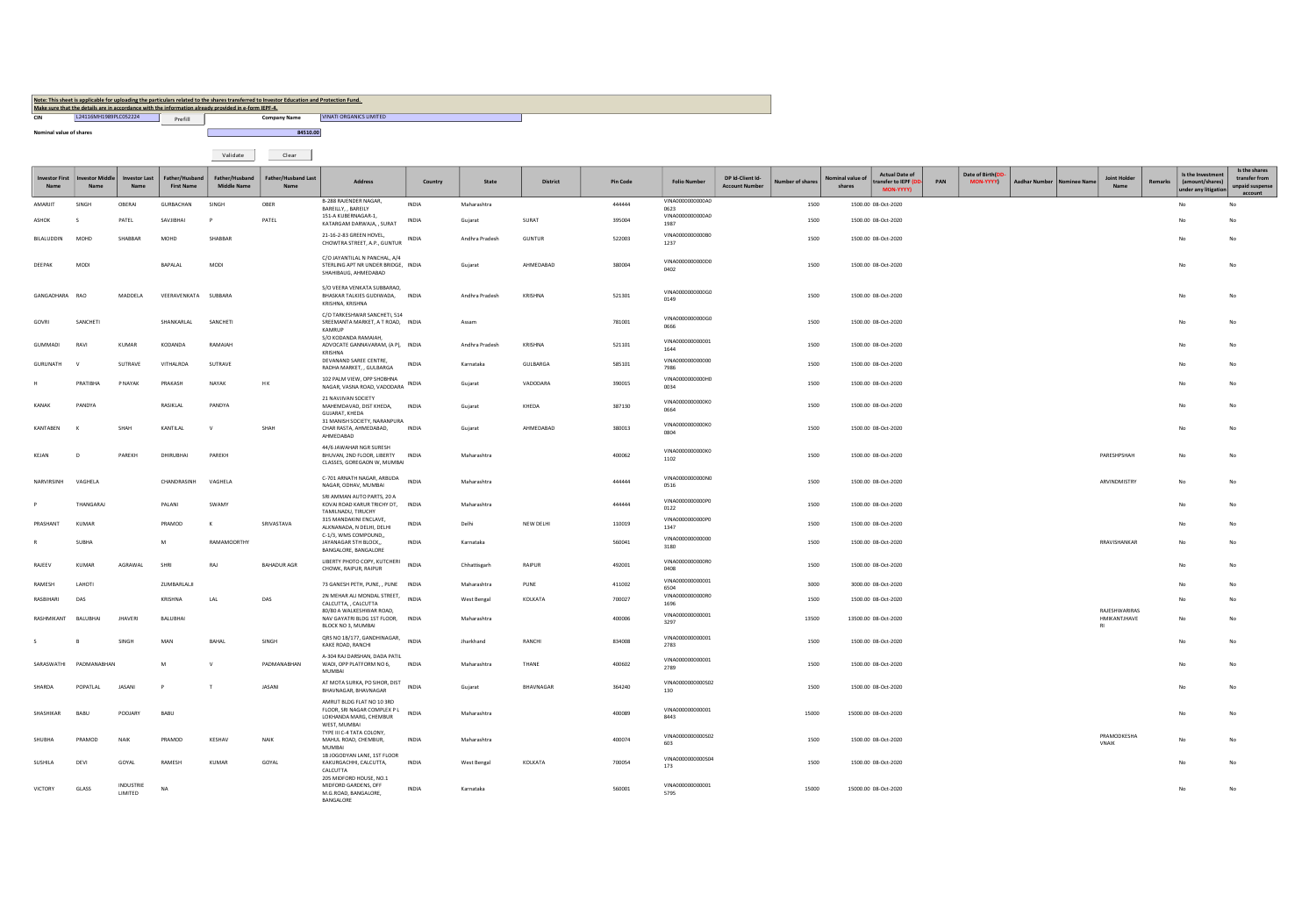Note: This sheet is applicable for uploading the particulars related to the shares transferred to Investor Education and Protection Fund.<br>Make sure that the desilis are in accordance with the information arisedy provided i

**CIN** L24116MH1989PLC052224 **VINATI ORGANICS LIMITED** 

**Nominal value of shares 84510.00** 

Validate Clear

|                       |                        |                      |                                     |                               |                             |                                                                                                    |              |                |               |          |                          |                                                            |                         |                                                           |     |                               |               |                               |         |                                                              | Is the shares                               |
|-----------------------|------------------------|----------------------|-------------------------------------|-------------------------------|-----------------------------|----------------------------------------------------------------------------------------------------|--------------|----------------|---------------|----------|--------------------------|------------------------------------------------------------|-------------------------|-----------------------------------------------------------|-----|-------------------------------|---------------|-------------------------------|---------|--------------------------------------------------------------|---------------------------------------------|
| <b>Investor First</b> | <b>Investor Middle</b> | <b>Investor Last</b> | Father/Husband<br><b>First Name</b> | Father/Husband<br>Middle Name | Father/Husband Last<br>Name | Address                                                                                            | Country      | State          | District      | Pin Code | <b>Folio Number</b>      | DP Id-Client Id-<br>ber of shares<br><b>Account Number</b> | inal value of<br>shares | <b>Actual Date of</b><br>transfer to IEPF (L<br>MON-YYYY) | PAN | Date of Birth(DD<br>MON-YYYYY | Aadhar Number | Joint Holder                  | Remarks | Is the Investment<br>(amount/shares)<br>under any litigation | transfer from<br>unpaid suspense<br>account |
| AMARJIT               | SINGH                  | OBERAI               | GURBACHAN                           | SINGH                         | OBER                        | B-288 RAJENDER NAGAR,<br>BAREILLY, . BAREILY                                                       | <b>INDIA</b> | Maharashtra    |               | 444444   | VINA0000000000A0<br>0623 |                                                            | 1500                    | 1500.00 08-Oct-2020                                       |     |                               |               |                               |         | No                                                           | No                                          |
| ASHOK                 |                        | PATEL                | SAVJIBHAI                           |                               | PATEL                       | 151-A KUBERNAGAR-1,<br>KATARGAM DARWAJA, , SURAT                                                   | INDIA        | Gujarat        | SURAT         | 395004   | VINA0000000000A0<br>1987 |                                                            | 1500                    | 1500.00 08-Oct-2020                                       |     |                               |               |                               |         | No                                                           |                                             |
| BILALUDDIN            | MOHD                   | SHARRAR              | <b>MOHD</b>                         | SHABBAR                       |                             | 21-16-2-83 GREEN HOVEL,                                                                            | <b>INDIA</b> | Andhra Pradesh | <b>GUNTUR</b> | 522003   | VINA0000000000B0         |                                                            | 1500                    | 1500.00 08-Oct-2020                                       |     |                               |               |                               |         | No                                                           | No                                          |
|                       |                        |                      |                                     |                               |                             | CHOWTRA STREET, A.P., GUNTUR                                                                       |              |                |               |          | 1237                     |                                                            |                         |                                                           |     |                               |               |                               |         |                                                              |                                             |
| DEEPAK                | MODI                   |                      | BAPALAL                             | MODI                          |                             | C/O JAYANTILAL N PANCHAL, A/4<br>STERLING APT NR UNDER BRIDGE, INDIA<br>SHAHIBAUG, AHMEDABAD       |              | Guiarat        | AHMEDABAD     | 380004   | VINA0000000000D0<br>0402 |                                                            | 1500                    | 1500.00 08-Oct-2020                                       |     |                               |               |                               |         |                                                              |                                             |
| GANGADHARA            | RAO                    | MADDELA              | VEERAVENKATA SUBBARA                |                               |                             | S/O VEERA VENKATA SUBBARAO,<br>BHASKAR TALKIES GUDIWADA, INDIA<br>KRISHNA, KRISHNA                 |              | Andhra Pradesh | KRISHNA       | 521301   | VINA0000000000G0<br>0149 |                                                            | 1500                    | 1500.00 08-Oct-2020                                       |     |                               |               |                               |         |                                                              | No                                          |
| GOVRI                 | SANCHETI               |                      | SHANKARLAL                          | SANCHETI                      |                             | C/O TARKESHWAR SANCHETI, 514<br>SREEMANTA MARKET, A T ROAD. INDIA<br>KAMRUP                        |              | Assam          |               | 781001   | VINA0000000000G0<br>3350 |                                                            | 1500                    | 1500.00 08-Oct-2020                                       |     |                               |               |                               |         |                                                              | No                                          |
| <b>GUMMADI</b>        | RAVI                   | KUMAR                | KODANDA                             | RAMAIAH                       |                             | S/O KODANDA RAMAIAH.<br>ADVOCATE GANNAVARAM, (A P), INDIA<br>KRISHNA                               |              | Andhra Pradesh | KRISHNA       | 521101   | VINA000000000001<br>1644 |                                                            | 1500                    | 1500.00 08-Oct-2020                                       |     |                               |               |                               |         |                                                              |                                             |
| GURUNATH              |                        | SUTRAVE              | VITHALROA                           | SUTRAVE                       |                             | DEVANAND SAREE CENTRE,<br>RADHA MARKET, , GULBARGA                                                 | INDIA        | Karnataka      | GULBARGA      | 585101   | VINA000000000000<br>7986 |                                                            | 1500                    | 1500.00 08-Oct-2020                                       |     |                               |               |                               |         |                                                              |                                             |
|                       | PRATIBHA               | P NAYAK              | PRAKASH                             | NAYAK                         | <b>HK</b>                   | 102 PALM VIEW, OPP SHOBHNA<br>NAGAR, VASNA ROAD, VADODARA                                          | INDIA        | Gujarat        | VADODARA      | 390015   | VINA0000000000H0<br>0034 |                                                            | 1500                    | 1500.00 08-Oct-2020                                       |     |                               |               |                               |         |                                                              |                                             |
| KANAK                 | PANDYA                 |                      | RASIKLAI                            | PANDYA                        |                             | 21 NAVJIVAN SOCIETY<br>MAHEMDAVAD, DIST KHEDA,<br>GUJARAT, KHEDA                                   | <b>INDIA</b> | Gujarat        | KHEDA         | 387130   | VINA0000000000K0<br>0664 |                                                            | 1500                    | 1500.00 08-Oct-2020                                       |     |                               |               |                               |         |                                                              |                                             |
| KANTABEN              |                        | SHAH                 | KANTILAL                            | $\mathsf{v}$                  | SHAH                        | 31 MANISH SOCIETY, NARANPURA<br>CHAR RASTA, AHMEDABAD,<br>AHMEDABAD                                | INDIA        | Guiarat        | AHMEDABAD     | 380013   | VINA0000000000KO<br>0804 |                                                            | 1500                    | 1500.00 08-Oct-2020                                       |     |                               |               |                               |         |                                                              |                                             |
| KEJAN                 |                        | PAREKH               | DHIRLIBHAL                          | PAREKH                        |                             | 44/6 JAWAHAR NGR SURESH<br>BHUVAN, 2ND FLOOR, LIBERTY INDIA<br>CLASSES, GOREGAON W, MUMBAI         |              | Maharashtra    |               | 400062   | VINA0000000000K0<br>1102 |                                                            | 1500                    | 1500.00 08-Oct-2020                                       |     |                               |               | PARESHPSHAH                   |         |                                                              |                                             |
| NARVIRSINH            | VAGHELA                |                      | CHANDRASINH                         | VAGHELA                       |                             | C-701 ARNATH NAGAR, ARBUDA<br>NAGAR, ODHAV, MUMBAI                                                 | INDIA        | Maharashtra    |               | 444444   | VINA0000000000N0<br>0516 |                                                            | 1500                    | 1500.00 08-Oct-2020                                       |     |                               |               | ARVINDMISTRY                  |         | No                                                           | No                                          |
|                       | THANGARAL              |                      | PALANI                              | <b>SWAMY</b>                  |                             | SRI AMMAN AUTO PARTS, 20 A<br>KOVAI ROAD KARUR TRICHY DT,<br>TAMILNADU, TIRUCHY                    | <b>INDIA</b> | Maharashtra    |               | 444444   | VINA0000000000P0<br>0122 |                                                            | 1500                    | 1500.00 08-Oct-2020                                       |     |                               |               |                               |         | No                                                           | No                                          |
| PRASHANT              | KUMAR                  |                      | PRAMOD                              | $\kappa$                      | SRIVASTAVA                  | 315 MANDAKINI ENCLAVE,<br>ALKNANADA, N DELHI, DELHI                                                | <b>INDIA</b> | Delhi          | NEW DELHI     | 110019   | VINA0000000000P0<br>1347 |                                                            | 1500                    | 1500.00.08-0ct-2020                                       |     |                               |               |                               |         |                                                              |                                             |
|                       | SUBHA                  |                      | M                                   | RAMAMOORTHY                   |                             | C-1/3, WMS COMPOUND,,<br>JAYANAGAR 5TH BLOCK.<br>BANGALORE, BANGALORE                              | INDIA        | Karnataka      |               | 560041   | VINA000000000000<br>3180 |                                                            | 1500                    | 1500.00 08-Oct-2020                                       |     |                               |               | RRAVISHANKAR                  |         |                                                              |                                             |
| RAJEEV                | KUMAR                  | AGRAWAL              | SHRI                                | RAJ                           | <b>BAHADUR AGR</b>          | LIBERTY PHOTO COPY, KUTCHERI<br>CHOWK, RAIPUR, RAIPUR                                              | <b>INDIA</b> | Chhattisgarh   | RAIPUR        | 492001   | VINA0000000000R0<br>0408 |                                                            | 1500                    | 1500.00 08-Oct-2020                                       |     |                               |               |                               |         |                                                              | No                                          |
| RAMESH                | LAHOTI                 |                      | ZUMBARLALJI                         |                               |                             | 73 GANESH PETH, PUNE, , PUNE INDIA                                                                 |              | Maharashtra    | PUNE          | 411002   | VINA000000000001<br>6504 |                                                            | 3000                    | 3000.00 08-Oct-2020                                       |     |                               |               |                               |         |                                                              |                                             |
| RASBIHARI             | DAS                    |                      | KRISHNA                             | LAL                           | DAS                         | 2N MEHAR ALI MONDAL STREET,<br>CALCUTTA, , CALCUTTA                                                | INDIA        | West Bengal    | KOLKATA       | 700027   | VINA0000000000R0<br>1696 |                                                            | 1500                    | 1500.00 08-Oct-2020                                       |     |                               |               |                               |         |                                                              |                                             |
| RASHMIKANT            | BALUBHAI               | <b>JHAVERI</b>       | BALUBHAI                            |                               |                             | 80/80 A WALKESHWAR ROAD,<br>NAV GAYATRI BLDG 1ST FLOOR,<br>BLOCK NO 3, MUMBAI                      | <b>INDIA</b> | Maharashtra    |               | 400006   | VINA000000000001<br>3297 |                                                            | 13500                   | 13500.00 08-Oct-2020                                      |     |                               |               | RAJESHWARIRAS<br>HMIKANTJHAVE |         |                                                              |                                             |
|                       |                        | <b>SINGH</b>         | MAN                                 | RAHA                          | SINGH                       | QRS NO 1B/177, GANDHINAGAR,<br>KAKE ROAD, RANCHI                                                   | <b>INDIA</b> | Jharkhand      | RANCHI        | 834008   | VINA000000000001<br>2783 |                                                            | 1500                    | 1500.00 08-Oct-2020                                       |     |                               |               |                               |         |                                                              | No                                          |
| SARASWATHI            | PADMANABHAN            |                      | M                                   | v                             | PADMANABHAN                 | A-304 RAJ DARSHAN, DADA PATIL<br>WADI, OPP PLATFORM NO 6,<br><b>MUMBAI</b>                         | INDIA        | Maharashtra    | THANE         | 400602   | VINA000000000001<br>2789 |                                                            | 1500                    | 1500.00 08-Oct-2020                                       |     |                               |               |                               |         |                                                              | No                                          |
| SHARDA                | POPATI AL              | JASANI               | P                                   |                               | JASANI                      | AT MOTA SURKA, PO SIHOR, DIST<br>BHAVNAGAR, BHAVNAGAR                                              | INDIA        | Gujarat        | RHAVNAGAR     | 364240   | VINA0000000000502<br>130 |                                                            | 1500                    | 1500.00 08-Oct-2020                                       |     |                               |               |                               |         |                                                              |                                             |
| SHASHIKAR             | BABU                   | POOJARY              | BABU                                |                               |                             | AMRUT BLDG FLAT NO 10 3RD<br>FLOOR, SRI NAGAR COMPLEX PL<br>LOKHANDA MARG, CHEMBUR<br>WEST, MUMBAI | INDIA        | Maharashtra    |               | 400089   | VINA000000000001<br>8443 |                                                            | 15000                   | 15000.00 08-Oct-2020                                      |     |                               |               |                               |         |                                                              |                                             |
| SHIJRHA               | PRAMOD                 | NAIK                 | PRAMOD                              | KESHAV                        | <b>NAIK</b>                 | TYPE III C-4 TATA COLONY,<br>MAHUL ROAD, CHEMBUR,<br>MUMBAI                                        | <b>INDIA</b> | Maharashtra    |               | 400074   | VINA0000000000502<br>603 |                                                            | 1500                    | 1500.00 08-Oct-2020                                       |     |                               |               | PRAMODKESHA<br>VNAIK          |         |                                                              |                                             |
| SUSHILA               | DEVI                   | GOYAL                | RAMESH                              | KUMAR                         | GOYAL                       | 1B JOGODYAN LANE, 1ST FLOOR<br>KAKURGACHHI, CALCUTTA,<br>CALCUTTA                                  | INDIA        | West Bengal    | KOLKATA       | 700054   | VINA0000000000504<br>173 |                                                            | 1500                    | 1500.00 08-Oct-2020                                       |     |                               |               |                               |         |                                                              |                                             |
| VICTORY               | GLASS                  | INDUSTRIE<br>LIMITED | <b>NA</b>                           |                               |                             | 205 MIDFORD HOUSE, NO.1<br>MIDFORD GARDENS, OFF<br>M.G.ROAD, BANGALORE,<br>BANGALORE               | <b>INDIA</b> | Karnataka      |               | 560001   | VINA000000000001<br>5795 |                                                            | 15000                   | 15000.00 08-Oct-2020                                      |     |                               |               |                               |         |                                                              | No                                          |